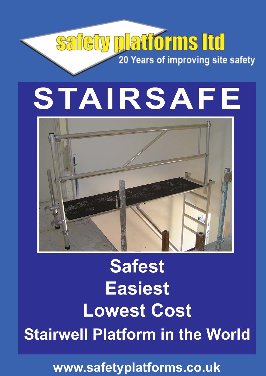# safety platforms Itd 20 Years of improving site safety

# **STAIRSAFE**



# **Safest Easiest Lowest Cost Stairwell Platform in the World**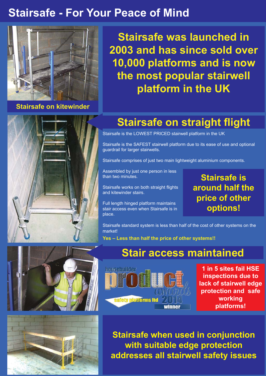#### **Stairsafe - For Your Peace of Mind**



**Stairsafe on kitewinder**

**Stairsafe was launched in 2003 and has since sold over 10,000 platforms and is now the most popular stairwell platform in the UK**



#### **Stairsafe on straight flight**

Stairsafe is the LOWEST PRICED stairwell platform in the UK

Stairsafe is the SAFEST stairwell platform due to its ease of use and optional guardrail for larger stairwells.

Stairsafe comprises of just two main lightweight aluminium components.

Assembled by just one person in less than two minutes.

Stairsafe works on both straight flights and kitewinder stairs.

Full length hinged platform maintains stair access even when Stairsafe is in place.

**Stairsafe is around half the price of other options!**

Stairsafe standard system is less than half of the cost of other systems on the market!

**Yes – Less than half the price of other systems!!**

#### **Stair access maintained**



**1 in 5 sites fail HSE inspections due to lack of stairwell edge protection and safe working platforms!**

**Stairsafe when used in conjunction with suitable edge protection addresses all stairwell safety issues**



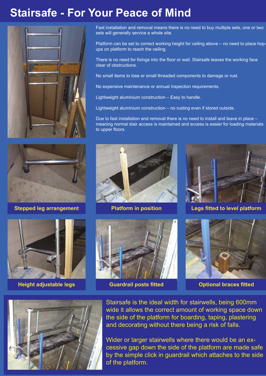#### **Stairsafe - For Your Peace of Mind**



Fast installation and removal means there is no need to buy multiple sets, one or two sets will generally service a whole site.

Platform can be set to correct working height for ceiling above – no need to place hopups on platform to reach the ceiling.

There is no need for fixings into the floor or wall. Stairsafe leaves the working face clear of obstructions.

No small items to lose or small threaded components to damage or rust.

No expensive maintenance or annual inspection requirements.

Lightweight aluminium construction – Easy to handle.

Lightweight aluminium construction – no rusting even if stored outside.

Due to fast installation and removal there is no need to install and leave in place – meaning normal stair access is maintained and access is easier for loading materials to upper floors.





**Height adjustable legs Cuardrail posts fitted Cubic optional braces fitted** 







**Stepped leg arrangement The Platform in position The Legs fitted to level platform** 





Stairsafe is the ideal width for stairwells, being 600mm wide it allows the correct amount of working space down the side of the platform for boarding, taping, plastering and decorating without there being a risk of falls.

Wider or larger stairwells where there would be an excessive gap down the side of the platform are made safe by the simple click in guardrail which attaches to the side of the platform.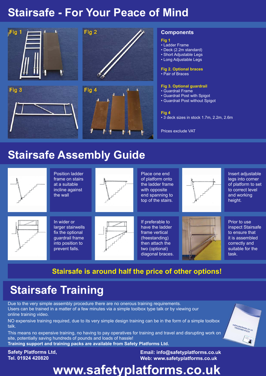#### **Stairsafe - For Your Peace of Mind**



#### **Stairsafe Assembly Guide**



#### **Stairsafe is around half the price of other options!**

## **Stairsafe Training**

Due to the very simple assembly procedure there are no onerous training requirements. Users can be trained in a matter of a few minutes via a simple toolbox type talk or by viewing our online training video.

NO expensive training required, due to its very simple design training can be in the form of a simple toolbox talk.

This means no expensive training, no having to pay operatives for training and travel and disrupting work on site, potentially saving hundreds of pounds and loads of hassle!

**Training support and training packs are available from Safety Platforms Ltd.**

**Safety Platforms Ltd, Tel. 01924 420820**

**Email: info@safetyplatforms.co.uk Web: www.safetyplatforms.co.uk**

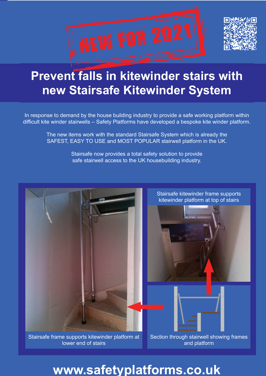

## **Prevent falls in kitewinder stairs with new Stairsafe Kitewinder System**

In response to demand by the house building industry to provide a safe working platform within difficult kite winder stairwells – Safety Platforms have developed a bespoke kite winder platform.

> The new items work with the standard Stairsafe System which is already the SAFEST, EASY TO USE and MOST POPULAR stairwell platform in the UK.

> > Stairsafe now provides a total safety solution to provide safe stairwell access to the UK housebuilding industry.



Stairsafe frame supports kitewinder platform at lower end of stairs

Section through stairwell showing frames and platform